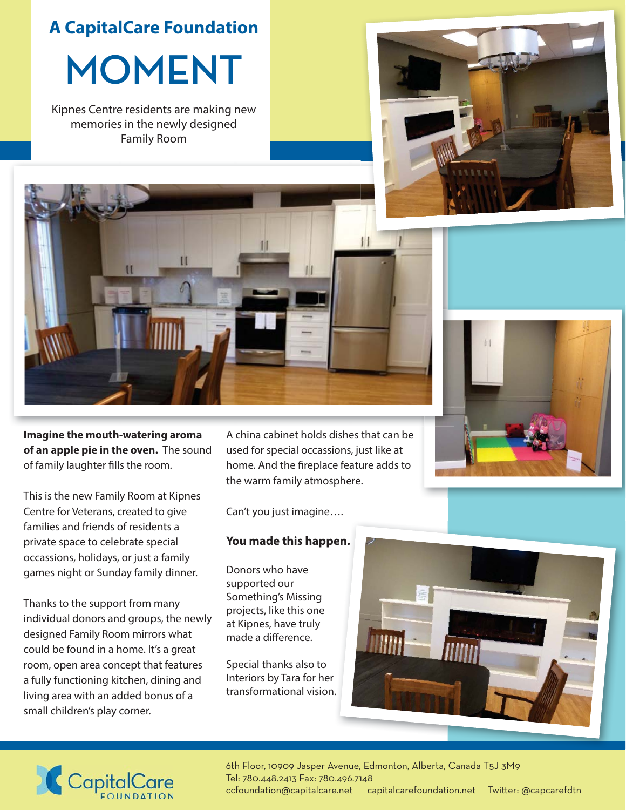**A CapitalCare Foundation**

**MOMENT**

Kipnes Centre residents are making new memories in the newly designed Family Room





**Imagine the mouth-watering aroma of an apple pie in the oven.** The sound of family laughter fills the room.

This is the new Family Room at Kipnes Centre for Veterans, created to give families and friends of residents a private space to celebrate special occassions, holidays, or just a family games night or Sunday family dinner.

Thanks to the support from many individual donors and groups, the newly designed Family Room mirrors what could be found in a home. It's a great room, open area concept that features a fully functioning kitchen, dining and living area with an added bonus of a small children's play corner.

A china cabinet holds dishes that can be used for special occassions, just like at home. And the fireplace feature adds to the warm family atmosphere.

Can't you just imagine….

## **You made this happen. en.**

Donors who have supported our Something's Missing projects, like this one at Kipnes, have truly made a difference.

Special thanks also to Interiors by Tara for her transformational vision. .



## CapitalCare

6th Floor, 10909 Jasper Avenue, Edmonton, Alberta, Canada T5J 3M9 Tel: 780.448.2413 Fax: 780.496.7148 ccfoundation@capitalcare.net capitalcarefoundation.net Twitter: @capcarefdtn